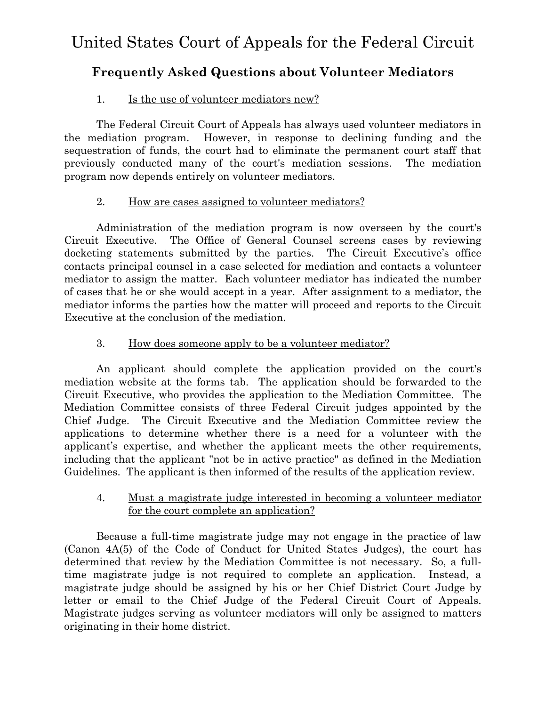# **Frequently Asked Questions about Volunteer Mediators**

## 1. Is the use of volunteer mediators new?

The Federal Circuit Court of Appeals has always used volunteer mediators in the mediation program. However, in response to declining funding and the sequestration of funds, the court had to eliminate the permanent court staff that previously conducted many of the court's mediation sessions. The mediation program now depends entirely on volunteer mediators.

### 2. How are cases assigned to volunteer mediators?

Administration of the mediation program is now overseen by the court's Circuit Executive. The Office of General Counsel screens cases by reviewing docketing statements submitted by the parties. The Circuit Executive's office contacts principal counsel in a case selected for mediation and contacts a volunteer mediator to assign the matter. Each volunteer mediator has indicated the number of cases that he or she would accept in a year. After assignment to a mediator, the mediator informs the parties how the matter will proceed and reports to the Circuit Executive at the conclusion of the mediation.

### 3. How does someone apply to be a volunteer mediator?

An applicant should complete the application provided on the court's mediation website at the forms tab. The application should be forwarded to the Circuit Executive, who provides the application to the Mediation Committee. The Mediation Committee consists of three Federal Circuit judges appointed by the Chief Judge. The Circuit Executive and the Mediation Committee review the applications to determine whether there is a need for a volunteer with the applicant's expertise, and whether the applicant meets the other requirements, including that the applicant "not be in active practice" as defined in the Mediation Guidelines. The applicant is then informed of the results of the application review.

#### 4. Must a magistrate judge interested in becoming a volunteer mediator for the court complete an application?

Because a full-time magistrate judge may not engage in the practice of law (Canon 4A(5) of the Code of Conduct for United States Judges), the court has determined that review by the Mediation Committee is not necessary. So, a fulltime magistrate judge is not required to complete an application. Instead, a magistrate judge should be assigned by his or her Chief District Court Judge by letter or email to the Chief Judge of the Federal Circuit Court of Appeals. Magistrate judges serving as volunteer mediators will only be assigned to matters originating in their home district.